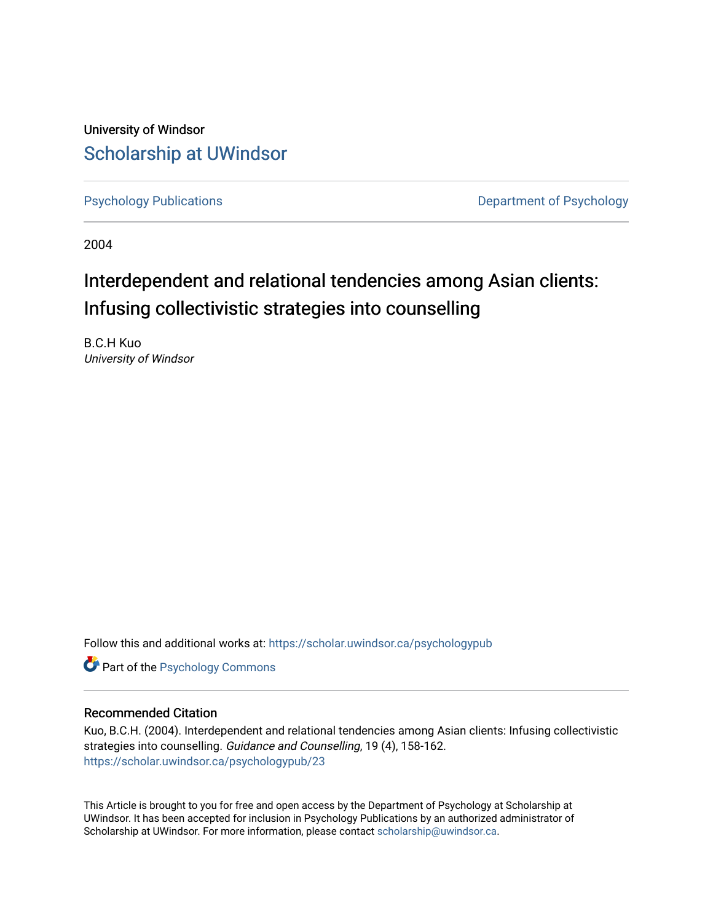University of Windsor [Scholarship at UWindsor](https://scholar.uwindsor.ca/) 

[Psychology Publications](https://scholar.uwindsor.ca/psychologypub) **Department of Psychology** 

2004

## Interdependent and relational tendencies among Asian clients: Infusing collectivistic strategies into counselling

B.C.H Kuo University of Windsor

Follow this and additional works at: [https://scholar.uwindsor.ca/psychologypub](https://scholar.uwindsor.ca/psychologypub?utm_source=scholar.uwindsor.ca%2Fpsychologypub%2F23&utm_medium=PDF&utm_campaign=PDFCoverPages) 

**Part of the Psychology Commons** 

#### Recommended Citation

Kuo, B.C.H. (2004). Interdependent and relational tendencies among Asian clients: Infusing collectivistic strategies into counselling. Guidance and Counselling, 19 (4), 158-162. [https://scholar.uwindsor.ca/psychologypub/23](https://scholar.uwindsor.ca/psychologypub/23?utm_source=scholar.uwindsor.ca%2Fpsychologypub%2F23&utm_medium=PDF&utm_campaign=PDFCoverPages)

This Article is brought to you for free and open access by the Department of Psychology at Scholarship at UWindsor. It has been accepted for inclusion in Psychology Publications by an authorized administrator of Scholarship at UWindsor. For more information, please contact [scholarship@uwindsor.ca.](mailto:scholarship@uwindsor.ca)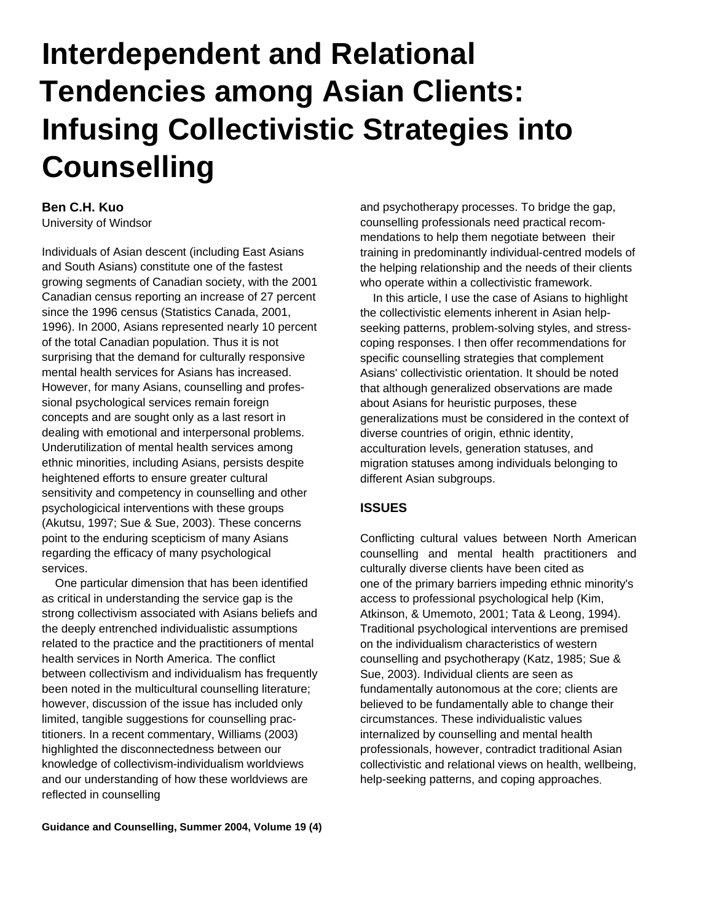# **Interdependent and Relational Tendencies among Asian Clients: Infusing Collectivistic Strategies into Counselling**

### **Ben C.H. Kuo**

University of Windsor

Individuals of Asian descent (including East Asians and South Asians) constitute one of the fastest growing segments of Canadian society, with the 2001 Canadian census reporting an increase of 27 percent since the 1996 census (Statistics Canada, 2001, 1996). In 2000, Asians represented nearly 10 percent of the total Canadian population. Thus it is not surprising that the demand for culturally responsive mental health services for Asians has increased. However, for many Asians, counselling and professional psychological services remain foreign concepts and are sought only as a last resort in dealing with emotional and interpersonal problems. Underutilization of mental health services among ethnic minorities, including Asians, persists despite heightened efforts to ensure greater cultural sensitivity and competency in counselling and other psychologicical interventions with these groups (Akutsu, 1997; Sue & Sue, 2003). These concerns point to the enduring scepticism of many Asians regarding the efficacy of many psychological services.

One particular dimension that has been identified as critical in understanding the service gap is the strong collectivism associated with Asians beliefs and the deeply entrenched individualistic assumptions related to the practice and the practitioners of mental health services in North America. The conflict between collectivism and individualism has frequently been noted in the multicultural counselling literature; however, discussion of the issue has included only limited, tangible suggestions for counselling practitioners. In a recent commentary, Williams (2003) highlighted the disconnectedness between our knowledge of collectivism-individualism worldviews and our understanding of how these worldviews are reflected in counselling

and psychotherapy processes. To bridge the gap, counselling professionals need practical recommendations to help them negotiate between their training in predominantly individual-centred models of the helping relationship and the needs of their clients who operate within a collectivistic framework.

In this article, I use the case of Asians to highlight the collectivistic elements inherent in Asian helpseeking patterns, problem-solving styles, and stresscoping responses. I then offer recommendations for specific counselling strategies that complement Asians' collectivistic orientation. It should be noted that although generalized observations are made about Asians for heuristic purposes, these generalizations must be considered in the context of diverse countries of origin, ethnic identity, acculturation levels, generation statuses, and migration statuses among individuals belonging to different Asian subgroups.

#### **ISSUES**

Conflicting cultural values between North American counselling and mental health practitioners and culturally diverse clients have been cited as one of the primary barriers impeding ethnic minority's access to professional psychological help (Kim, Atkinson, & Umemoto, 2001; Tata & Leong, 1994). Traditional psychological interventions are premised on the individualism characteristics of western counselling and psychotherapy (Katz, 1985; Sue & Sue, 2003). Individual clients are seen as fundamentally autonomous at the core; clients are believed to be fundamentally able to change their circumstances. These individualistic values internalized by counselling and mental health professionals, however, contradict traditional Asian collectivistic and relational views on health, wellbeing, help-seeking patterns, and coping approaches.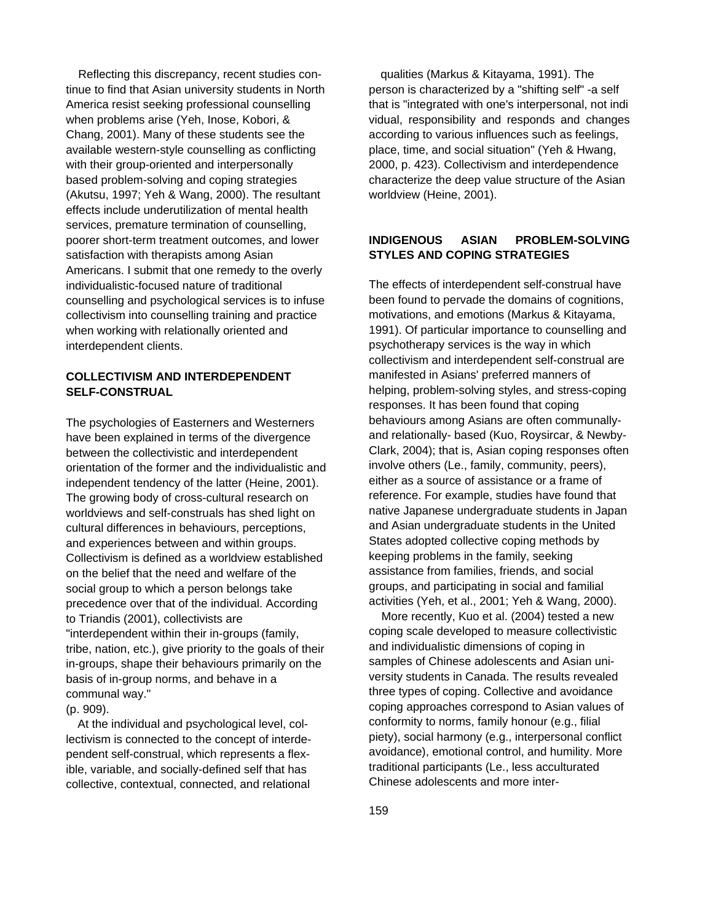Reflecting this discrepancy, recent studies continue to find that Asian university students in North America resist seeking professional counselling when problems arise (Yeh, Inose, Kobori, & Chang, 2001). Many of these students see the available western-style counselling as conflicting with their group-oriented and interpersonally based problem-solving and coping strategies (Akutsu, 1997; Yeh & Wang, 2000). The resultant effects include underutilization of mental health services, premature termination of counselling, poorer short-term treatment outcomes, and lower satisfaction with therapists among Asian Americans. I submit that one remedy to the overly individualistic-focused nature of traditional counselling and psychological services is to infuse collectivism into counselling training and practice when working with relationally oriented and interdependent clients.

#### **COLLECTIVISM AND INTERDEPENDENT SELF-CONSTRUAL**

The psychologies of Easterners and Westerners have been explained in terms of the divergence between the collectivistic and interdependent orientation of the former and the individualistic and independent tendency of the latter (Heine, 2001). The growing body of cross-cultural research on worldviews and self-construals has shed light on cultural differences in behaviours, perceptions, and experiences between and within groups. Collectivism is defined as a worldview established on the belief that the need and welfare of the social group to which a person belongs take precedence over that of the individual. According to Triandis (2001), collectivists are "interdependent within their in-groups (family, tribe, nation, etc.), give priority to the goals of their in-groups, shape their behaviours primarily on the basis of in-group norms, and behave in a communal way." (p. 909).

At the individual and psychological level, collectivism is connected to the concept of interdependent self-construal, which represents a flexible, variable, and socially-defined self that has collective, contextual, connected, and relational

qualities (Markus & Kitayama, 1991). The person is characterized by a "shifting self" -a self that is "integrated with one's interpersonal, not indi vidual, responsibility and responds and changes according to various influences such as feelings, place, time, and social situation" (Yeh & Hwang, 2000, p. 423). Collectivism and interdependence characterize the deep value structure of the Asian worldview (Heine, 2001).

#### **INDIGENOUS ASIAN PROBLEM-SOLVING STYLES AND COPING STRATEGIES**

The effects of interdependent self-construal have been found to pervade the domains of cognitions, motivations, and emotions (Markus & Kitayama, 1991). Of particular importance to counselling and psychotherapy services is the way in which collectivism and interdependent self-construal are manifested in Asians' preferred manners of helping, problem-solving styles, and stress-coping responses. It has been found that coping behaviours among Asians are often communallyand relationally- based (Kuo, Roysircar, & Newby-Clark, 2004); that is, Asian coping responses often involve others (Le., family, community, peers), either as a source of assistance or a frame of reference. For example, studies have found that native Japanese undergraduate students in Japan and Asian undergraduate students in the United States adopted collective coping methods by keeping problems in the family, seeking assistance from families, friends, and social groups, and participating in social and familial activities (Yeh, et al., 2001; Yeh & Wang, 2000).

More recently, Kuo et al. (2004) tested a new coping scale developed to measure collectivistic and individualistic dimensions of coping in samples of Chinese adolescents and Asian university students in Canada. The results revealed three types of coping. Collective and avoidance coping approaches correspond to Asian values of conformity to norms, family honour (e.g., filial piety), social harmony (e.g., interpersonal conflict avoidance), emotional control, and humility. More traditional participants (Le., less acculturated Chinese adolescents and more inter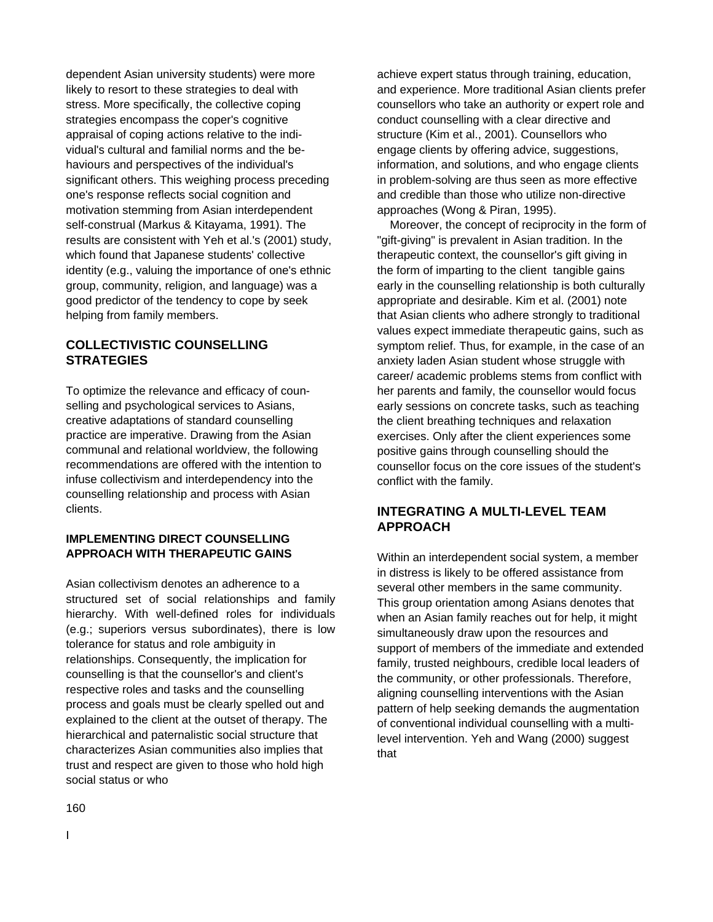dependent Asian university students) were more likely to resort to these strategies to deal with stress. More specifically, the collective coping strategies encompass the coper's cognitive appraisal of coping actions relative to the individual's cultural and familial norms and the behaviours and perspectives of the individual's significant others. This weighing process preceding one's response reflects social cognition and motivation stemming from Asian interdependent self-construal (Markus & Kitayama, 1991). The results are consistent with Yeh et al.'s (2001) study, which found that Japanese students' collective identity (e.g., valuing the importance of one's ethnic group, community, religion, and language) was a good predictor of the tendency to cope by seek helping from family members.

#### **COLLECTIVISTIC COUNSELLING STRATEGIES**

To optimize the relevance and efficacy of counselling and psychological services to Asians. creative adaptations of standard counselling practice are imperative. Drawing from the Asian communal and relational worldview, the following recommendations are offered with the intention to infuse collectivism and interdependency into the counselling relationship and process with Asian clients.

#### **IMPLEMENTING DIRECT COUNSELLING APPROACH WITH THERAPEUTIC GAINS**

Asian collectivism denotes an adherence to a structured set of social relationships and family hierarchy. With well-defined roles for individuals (e.g.; superiors versus subordinates), there is low tolerance for status and role ambiguity in relationships. Consequently, the implication for counselling is that the counsellor's and client's respective roles and tasks and the counselling process and goals must be clearly spelled out and explained to the client at the outset of therapy. The hierarchical and paternalistic social structure that characterizes Asian communities also implies that trust and respect are given to those who hold high social status or who

achieve expert status through training, education, and experience. More traditional Asian clients prefer counsellors who take an authority or expert role and conduct counselling with a clear directive and structure (Kim et al., 2001). Counsellors who engage clients by offering advice, suggestions, information, and solutions, and who engage clients in problem-solving are thus seen as more effective and credible than those who utilize non-directive approaches (Wong & Piran, 1995).

Moreover, the concept of reciprocity in the form of "gift-giving" is prevalent in Asian tradition. In the therapeutic context, the counsellor's gift giving in the form of imparting to the client tangible gains early in the counselling relationship is both culturally appropriate and desirable. Kim et al. (2001) note that Asian clients who adhere strongly to traditional values expect immediate therapeutic gains, such as symptom relief. Thus, for example, in the case of an anxiety laden Asian student whose struggle with career/ academic problems stems from conflict with her parents and family, the counsellor would focus early sessions on concrete tasks, such as teaching the client breathing techniques and relaxation exercises. Only after the client experiences some positive gains through counselling should the counsellor focus on the core issues of the student's conflict with the family.

#### **INTEGRATING A MULTI-LEVEL TEAM APPROACH**

Within an interdependent social system, a member in distress is likely to be offered assistance from several other members in the same community. This group orientation among Asians denotes that when an Asian family reaches out for help, it might simultaneously draw upon the resources and support of members of the immediate and extended family, trusted neighbours, credible local leaders of the community, or other professionals. Therefore, aligning counselling interventions with the Asian pattern of help seeking demands the augmentation of conventional individual counselling with a multilevel intervention. Yeh and Wang (2000) suggest that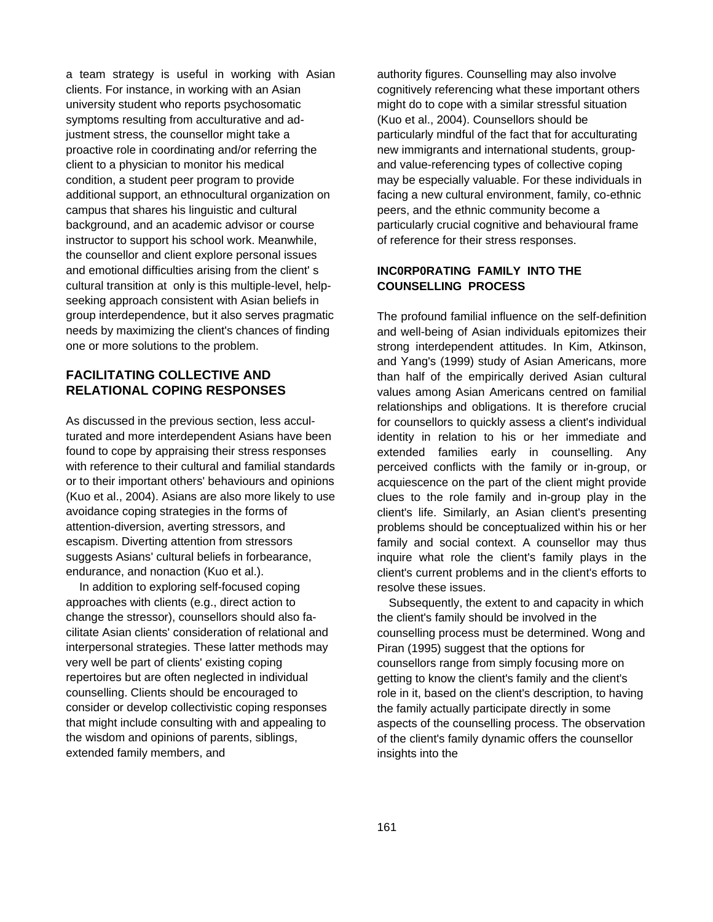a team strategy is useful in working with Asian clients. For instance, in working with an Asian university student who reports psychosomatic symptoms resulting from acculturative and adjustment stress, the counsellor might take a proactive role in coordinating and/or referring the client to a physician to monitor his medical condition, a student peer program to provide additional support, an ethnocultural organization on campus that shares his linguistic and cultural background, and an academic advisor or course instructor to support his school work. Meanwhile, the counsellor and client explore personal issues and emotional difficulties arising from the client' s cultural transition at only is this multiple-level, helpseeking approach consistent with Asian beliefs in group interdependence, but it also serves pragmatic needs by maximizing the client's chances of finding one or more solutions to the problem.

#### **FACILITATING COLLECTIVE AND RELATIONAL COPING RESPONSES**

As discussed in the previous section, less acculturated and more interdependent Asians have been found to cope by appraising their stress responses with reference to their cultural and familial standards or to their important others' behaviours and opinions (Kuo et al., 2004). Asians are also more likely to use avoidance coping strategies in the forms of attention-diversion, averting stressors, and escapism. Diverting attention from stressors suggests Asians' cultural beliefs in forbearance, endurance, and nonaction (Kuo et al.).

In addition to exploring self-focused coping approaches with clients (e.g., direct action to change the stressor), counsellors should also facilitate Asian clients' consideration of relational and interpersonal strategies. These latter methods may very well be part of clients' existing coping repertoires but are often neglected in individual counselling. Clients should be encouraged to consider or develop collectivistic coping responses that might include consulting with and appealing to the wisdom and opinions of parents, siblings, extended family members, and

authority figures. Counselling may also involve cognitively referencing what these important others might do to cope with a similar stressful situation (Kuo et al., 2004). Counsellors should be particularly mindful of the fact that for acculturating new immigrants and international students, groupand value-referencing types of collective coping may be especially valuable. For these individuals in facing a new cultural environment, family, co-ethnic peers, and the ethnic community become a particularly crucial cognitive and behavioural frame of reference for their stress responses.

#### **INC0RP0RATING FAMILY INTO THE COUNSELLING PROCESS**

The profound familial influence on the self-definition and well-being of Asian individuals epitomizes their strong interdependent attitudes. In Kim, Atkinson, and Yang's (1999) study of Asian Americans, more than half of the empirically derived Asian cultural values among Asian Americans centred on familial relationships and obligations. It is therefore crucial for counsellors to quickly assess a client's individual identity in relation to his or her immediate and extended families early in counselling. Any perceived conflicts with the family or in-group, or acquiescence on the part of the client might provide clues to the role family and in-group play in the client's life. Similarly, an Asian client's presenting problems should be conceptualized within his or her family and social context. A counsellor may thus inquire what role the client's family plays in the client's current problems and in the client's efforts to resolve these issues.

Subsequently, the extent to and capacity in which the client's family should be involved in the counselling process must be determined. Wong and Piran (1995) suggest that the options for counsellors range from simply focusing more on getting to know the client's family and the client's role in it, based on the client's description, to having the family actually participate directly in some aspects of the counselling process. The observation of the client's family dynamic offers the counsellor insights into the